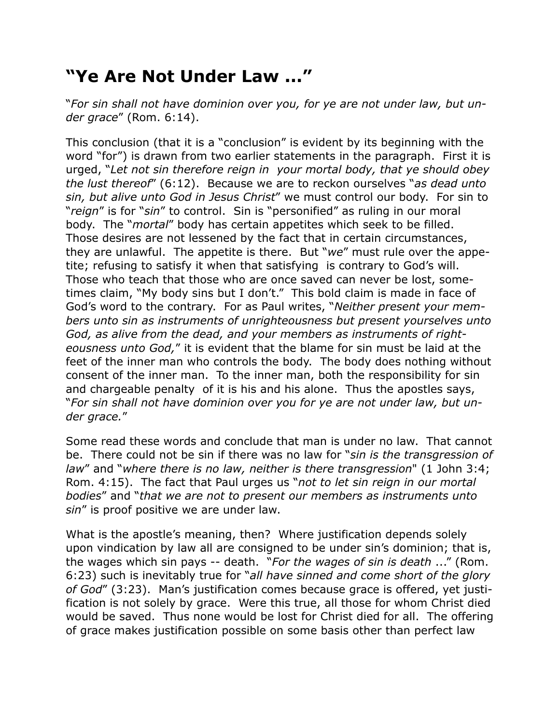## **"Ye Are Not Under Law ..."**

"*For sin shall not have dominion over you, for ye are not under law, but under grace*" (Rom. 6:14).

This conclusion (that it is a "conclusion" is evident by its beginning with the word "for") is drawn from two earlier statements in the paragraph. First it is urged, "*Let not sin therefore reign in your mortal body, that ye should obey the lust thereof*" (6:12). Because we are to reckon ourselves "*as dead unto sin, but alive unto God in Jesus Christ*" we must control our body. For sin to "*reign*" is for "*sin*" to control. Sin is "personified" as ruling in our moral body. The "*mortal*" body has certain appetites which seek to be filled. Those desires are not lessened by the fact that in certain circumstances, they are unlawful. The appetite is there. But "*we*" must rule over the appetite; refusing to satisfy it when that satisfying is contrary to God's will. Those who teach that those who are once saved can never be lost, sometimes claim, "My body sins but I don't." This bold claim is made in face of God's word to the contrary. For as Paul writes, "*Neither present your members unto sin as instruments of unrighteousness but present yourselves unto God, as alive from the dead, and your members as instruments of righteousness unto God,*" it is evident that the blame for sin must be laid at the feet of the inner man who controls the body. The body does nothing without consent of the inner man. To the inner man, both the responsibility for sin and chargeable penalty of it is his and his alone. Thus the apostles says, "*For sin shall not have dominion over you for ye are not under law, but under grace.*"

Some read these words and conclude that man is under no law. That cannot be. There could not be sin if there was no law for "*sin is the transgression of law*" and "*where there is no law, neither is there transgression*" (1 John 3:4; Rom. 4:15). The fact that Paul urges us "*not to let sin reign in our mortal bodies*" and "*that we are not to present our members as instruments unto sin*" is proof positive we are under law.

What is the apostle's meaning, then? Where justification depends solely upon vindication by law all are consigned to be under sin's dominion; that is, the wages which sin pays -- death. "*For the wages of sin is death* ..." (Rom. 6:23) such is inevitably true for "*all have sinned and come short of the glory of God*" (3:23). Man's justification comes because grace is offered, yet justification is not solely by grace. Were this true, all those for whom Christ died would be saved. Thus none would be lost for Christ died for all. The offering of grace makes justification possible on some basis other than perfect law